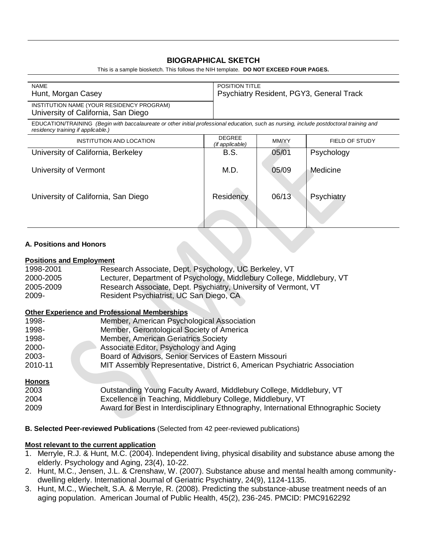# **BIOGRAPHICAL SKETCH**

This is a sample biosketch. This follows the NIH template. **DO NOT EXCEED FOUR PAGES.**

| <b>NAME</b>                                                                                                                                                                    | <b>POSITION TITLE</b>                    |       |                       |  |
|--------------------------------------------------------------------------------------------------------------------------------------------------------------------------------|------------------------------------------|-------|-----------------------|--|
| Hunt, Morgan Casey                                                                                                                                                             | Psychiatry Resident, PGY3, General Track |       |                       |  |
| INSTITUTION NAME (YOUR RESIDENCY PROGRAM)<br>University of California, San Diego                                                                                               |                                          |       |                       |  |
| EDUCATION/TRAINING (Begin with baccalaureate or other initial professional education, such as nursing, include postdoctoral training and<br>residency training if applicable.) |                                          |       |                       |  |
| INSTITUTION AND LOCATION                                                                                                                                                       | <b>DEGREE</b><br>(if applicable)         | MM/YY | <b>FIELD OF STUDY</b> |  |
| University of California, Berkeley                                                                                                                                             | B.S.                                     | 05/01 | Psychology            |  |
| University of Vermont                                                                                                                                                          | M.D.                                     | 05/09 | Medicine              |  |
| University of California, San Diego                                                                                                                                            | Residency                                | 06/13 | Psychiatry            |  |
|                                                                                                                                                                                |                                          |       |                       |  |

#### **A. Positions and Honors**

### **Positions and Employment**

| 1998-2001 | Research Associate, Dept. Psychology, UC Berkeley, VT                  |
|-----------|------------------------------------------------------------------------|
| 2000-2005 | Lecturer, Department of Psychology, Middlebury College, Middlebury, VT |
| 2005-2009 | Research Associate, Dept. Psychiatry, University of Vermont, VT        |
| 2009-     | Resident Psychiatrist, UC San Diego, CA                                |

### **Other Experience and Professional Memberships**

| 1998-         | Member, American Psychological Association                                          |
|---------------|-------------------------------------------------------------------------------------|
| 1998-         | Member, Gerontological Society of America                                           |
| 1998-         | Member, American Geriatrics Society                                                 |
| 2000-         | Associate Editor, Psychology and Aging                                              |
| 2003-         | Board of Advisors, Senior Services of Eastern Missouri                              |
| 2010-11       | MIT Assembly Representative, District 6, American Psychiatric Association           |
| <b>Honors</b> |                                                                                     |
| 2003          | Outstanding Young Faculty Award, Middlebury College, Middlebury, VT                 |
| 2004          | Excellence in Teaching, Middlebury College, Middlebury, VT                          |
| 2009          | Award for Best in Interdisciplinary Ethnography, International Ethnographic Society |

**B. Selected Peer-reviewed Publications** (Selected from 42 peer-reviewed publications)

### **Most relevant to the current application**

- 1. Merryle, R.J. & Hunt, M.C. (2004). Independent living, physical disability and substance abuse among the elderly. Psychology and Aging, 23(4), 10-22.
- 2. Hunt, M.C., Jensen, J.L. & Crenshaw, W. (2007). Substance abuse and mental health among communitydwelling elderly. International Journal of Geriatric Psychiatry, 24(9), 1124-1135.
- 3. Hunt, M.C., Wiechelt, S.A. & Merryle, R. (2008). Predicting the substance-abuse treatment needs of an aging population. American Journal of Public Health, 45(2), 236-245. PMCID: PMC9162292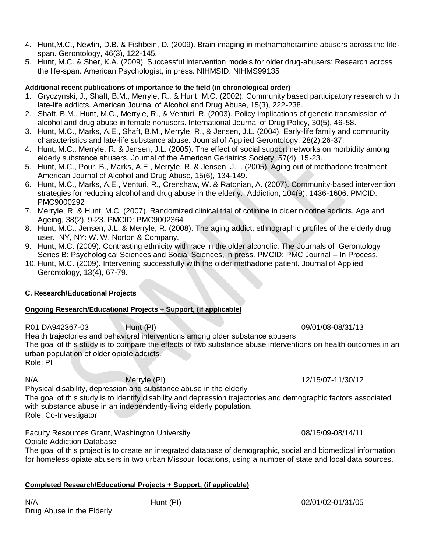- 4. Hunt,M.C., Newlin, D.B. & Fishbein, D. (2009). Brain imaging in methamphetamine abusers across the lifespan. Gerontology, 46(3), 122-145.
- 5. Hunt, M.C. & Sher, K.A. (2009). Successful intervention models for older drug-abusers: Research across the life-span. American Psychologist, in press. NIHMSID: NIHMS99135

### **Additional recent publications of importance to the field (in chronological order)**

- 1. Gryczynski, J., Shaft, B.M., Merryle, R., & Hunt, M.C. (2002). Community based participatory research with late-life addicts. American Journal of Alcohol and Drug Abuse, 15(3), 222-238.
- 2. Shaft, B.M., Hunt, M.C., Merryle, R., & Venturi, R. (2003). Policy implications of genetic transmission of alcohol and drug abuse in female nonusers. International Journal of Drug Policy, 30(5), 46-58.
- 3. Hunt, M.C., Marks, A.E., Shaft, B.M., Merryle, R., & Jensen, J.L. (2004). Early-life family and community characteristics and late-life substance abuse. Journal of Applied Gerontology, 28(2),26-37.
- 4. Hunt, M.C., Merryle, R. & Jensen, J.L. (2005). The effect of social support networks on morbidity among elderly substance abusers. Journal of the American Geriatrics Society, 57(4), 15-23.
- 5. Hunt, M.C., Pour, B., Marks, A.E., Merryle, R. & Jensen, J.L. (2005). Aging out of methadone treatment. American Journal of Alcohol and Drug Abuse, 15(6), 134-149.
- 6. Hunt, M.C., Marks, A.E., Venturi, R., Crenshaw, W. & Ratonian, A. (2007). Community-based intervention strategies for reducing alcohol and drug abuse in the elderly. Addiction, 104(9), 1436-1606. PMCID: PMC9000292
- 7. Merryle, R. & Hunt, M.C. (2007). Randomized clinical trial of cotinine in older nicotine addicts. Age and Ageing, 38(2), 9-23. PMCID: PMC9002364
- 8. Hunt, M.C., Jensen, J.L. & Merryle, R. (2008). The aging addict: ethnographic profiles of the elderly drug user. NY, NY: W. W. Norton & Company.
- 9. Hunt, M.C. (2009). Contrasting ethnicity with race in the older alcoholic. The Journals of Gerontology Series B: Psychological Sciences and Social Sciences, in press. PMCID: PMC Journal – In Process.
- 10. Hunt, M.C. (2009). Intervening successfully with the older methadone patient. Journal of Applied Gerontology, 13(4), 67-79.

# **C. Research/Educational Projects**

### **Ongoing Research/Educational Projects + Support, (if applicable)**

R01 DA942367-03 Hunt (PI) 09/01/08-08/31/13 Health trajectories and behavioral interventions among older substance abusers The goal of this study is to compare the effects of two substance abuse interventions on health outcomes in an urban population of older opiate addicts. Role: PI

Physical disability, depression and substance abuse in the elderly

The goal of this study is to identify disability and depression trajectories and demographic factors associated with substance abuse in an independently-living elderly population. Role: Co-Investigator

Faculty Resources Grant, Washington University **1988** 1988 1988/15/09-08/14/11

Opiate Addiction Database

The goal of this project is to create an integrated database of demographic, social and biomedical information for homeless opiate abusers in two urban Missouri locations, using a number of state and local data sources.

# **Completed Research/Educational Projects + Support, (if applicable)**

N/A Hunt (PI) 02/01/02-01/31/05 Drug Abuse in the Elderly

N/A Merryle (PI) 12/15/07-11/30/12